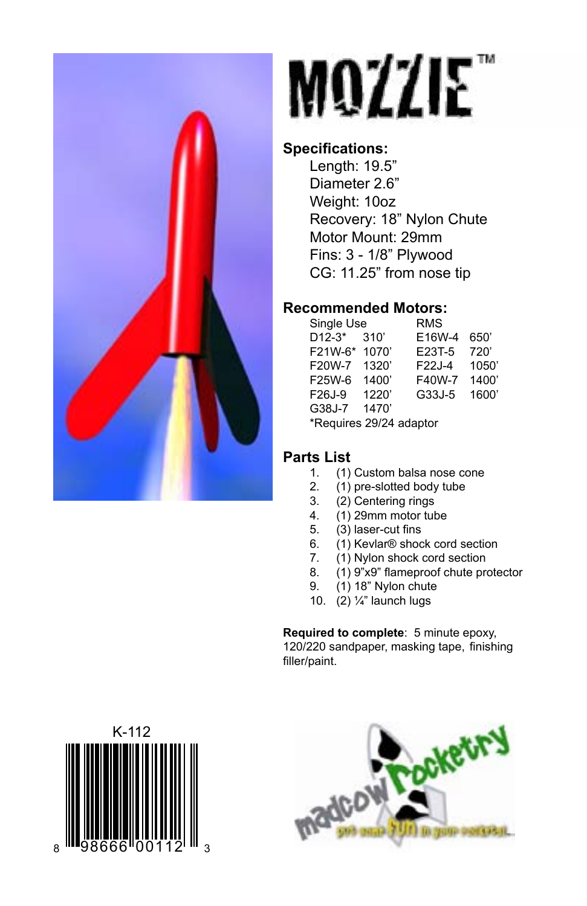

# MOZZIE

#### **Specifications:**

Length: 19.5" Diameter 2.6" Weight: 10oz Recovery: 18" Nylon Chute Motor Mount: 29mm Fins: 3 - 1/8" Plywood CG: 11.25" from nose tip

#### **Recommended Motors:**

| Single Use              |       | <b>RMS</b> |       |
|-------------------------|-------|------------|-------|
| $D12-3*$                | 310'  | E16W-4     | 650   |
| F21W-6*                 | 1070  | E23T-5     | 720'  |
| F20W-7                  | 1320' | F22J-4     | 1050  |
| F25W-6                  | 1400' | F40W-7     | 1400' |
| F26J-9                  | 1220' | G33J-5     | 1600  |
| G38J-7                  | 1470' |            |       |
| *Requires 29/24 adaptor |       |            |       |
|                         |       |            |       |

## **Parts List**

- 1. (1) Custom balsa nose cone<br>2. (1) pre-slotted body tube
- 2. (1) pre-slotted body tube<br>3. (2) Centering rings
- (2) Centering rings
- 4. (1) 29mm motor tube<br>5. (3) laser-cut fins
- 5.  $(3)$  laser-cut fins<br>6.  $(1)$  Kevlar® shoc
- 6. (1) Kevlar® shock cord section
- 7. (1) Nylon shock cord section
- 8. (1) 9"x9" flameproof chute protector<br>9. (1) 18" Nylon chute
- (1) 18" Nylon chute
- 10. (2) ¼" launch lugs

**Required to complete**: 5 minute epoxy, 120/220 sandpaper, masking tape, finishing filler/paint.



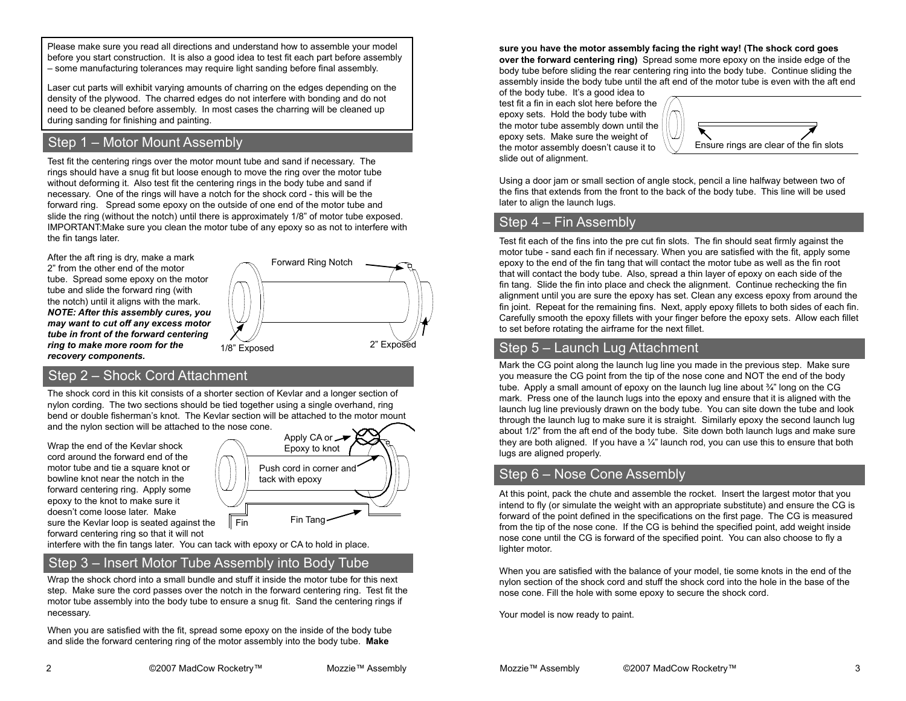Please make sure you read all directions and understand how to assemble your model before you start construction. It is also a good idea to test fit each part before assembly – some manufacturing tolerances may require light sanding before final assembly.

Laser cut parts will exhibit varying amounts of charring on the edges depending on the density of the plywood. The charred edges do not interfere with bonding and do not need to be cleaned before assembly. In most cases the charring will be cleaned up during sanding for finishing and painting.

#### Step 1 – Motor Mount Assembly

Test fit the centering rings over the motor mount tube and sand if necessary. The rings should have a snug fit but loose enough to move the ring over the motor tube without deforming it. Also test fit the centering rings in the body tube and sand if necessary. One of the rings will have a notch for the shock cord - this will be the forward ring. Spread some epoxy on the outside of one end of the motor tube and slide the ring (without the notch) until there is approximately 1/8" of motor tube exposed. IMPORTANT:Make sure you clean the motor tube of any epoxy so as not to interfere with the fin tangs later.

After the aft ring is dry, make a mark 2" from the other end of the motor tube. Spread some epoxy on the motor tube and slide the forward ring (with the notch) until it aligns with the mark. *NOTE: After this assembly cures, you may want to cut off any excess motor tube in front of the forward centering ring to make more room for the recovery components.*



#### Step 2 – Shock Cord Attachment

The shock cord in this kit consists of a shorter section of Kevlar and a longer section of nylon cording. The two sections should be tied together using a single overhand, ring bend or double fisherman's knot. The Kevlar section will be attached to the motor mount and the nylon section will be attached to the nose cone.

Wrap the end of the Kevlar shock cord around the forward end of the motor tube and tie a square knot or bowline knot near the notch in the forward centering ring. Apply some epoxy to the knot to make sure it doesn't come loose later. Make sure the Kevlar loop is seated against the forward centering ring so that it will not



interfere with the fin tangs later. You can tack with epoxy or CA to hold in place.

#### Step 3 – Insert Motor Tube Assembly into Body Tube

Wrap the shock chord into a small bundle and stuff it inside the motor tube for this next step. Make sure the cord passes over the notch in the forward centering ring. Test fit the motor tube assembly into the body tube to ensure a snug fit. Sand the centering rings if necessary.

When you are satisfied with the fit, spread some epoxy on the inside of the body tube and slide the forward centering ring of the motor assembly into the body tube. **Make** 

**sure you have the motor assembly facing the right way! (The shock cord goes over the forward centering ring)** Spread some more epoxy on the inside edge of the body tube before sliding the rear centering ring into the body tube. Continue sliding the assembly inside the body tube until the aft end of the motor tube is even with the aft end

of the body tube. It's a good idea to test fit a fin in each slot here before the epoxy sets. Hold the body tube with the motor tube assembly down until the epoxy sets. Make sure the weight of the motor assembly doesn't cause it to slide out of alignment.



Using a door jam or small section of angle stock, pencil a line halfway between two of the fins that extends from the front to the back of the body tube. This line will be used later to align the launch lugs.

#### Step 4 – Fin Assembly

Test fit each of the fins into the pre cut fin slots. The fin should seat firmly against the motor tube - sand each fin if necessary. When you are satisfied with the fit, apply some epoxy to the end of the fin tang that will contact the motor tube as well as the fin root that will contact the body tube. Also, spread a thin layer of epoxy on each side of the fin tang. Slide the fin into place and check the alignment. Continue rechecking the fin alignment until you are sure the epoxy has set. Clean any excess epoxy from around the fin joint. Repeat for the remaining fins. Next, apply epoxy fillets to both sides of each fin. Carefully smooth the epoxy fillets with your finger before the epoxy sets. Allow each fillet to set before rotating the airframe for the next fillet.

#### Step 5 – Launch Lug Attachment

Mark the CG point along the launch lug line you made in the previous step. Make sure you measure the CG point from the tip of the nose cone and NOT the end of the body tube. Apply a small amount of epoxy on the launch lug line about ¾" long on the CG mark. Press one of the launch lugs into the epoxy and ensure that it is aligned with the launch lug line previously drawn on the body tube. You can site down the tube and look through the launch lug to make sure it is straight. Similarly epoxy the second launch lug about 1/2" from the aft end of the body tube. Site down both launch lugs and make sure they are both aligned. If you have a  $\frac{1}{4}$ " launch rod, you can use this to ensure that both lugs are aligned properly.

#### Step 6 – Nose Cone Assembly

At this point, pack the chute and assemble the rocket. Insert the largest motor that you intend to fly (or simulate the weight with an appropriate substitute) and ensure the CG is forward of the point defined in the specifications on the first page. The CG is measured from the tip of the nose cone. If the CG is behind the specified point, add weight inside nose cone until the CG is forward of the specified point. You can also choose to fly a lighter motor.

When you are satisfied with the balance of your model, tie some knots in the end of the nylon section of the shock cord and stuff the shock cord into the hole in the base of the nose cone. Fill the hole with some epoxy to secure the shock cord.

Your model is now ready to paint.